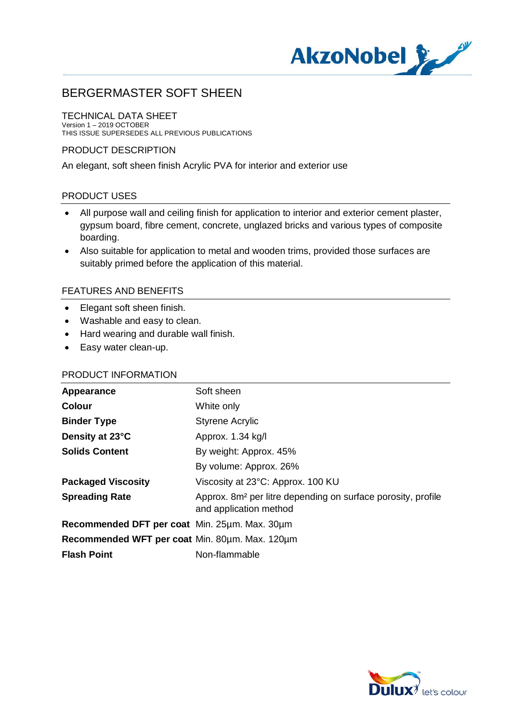

## TECHNICAL DATA SHEET

Version 1 – 2019 OCTOBER THIS ISSUE SUPERSEDES ALL PREVIOUS PUBLICATIONS

## PRODUCT DESCRIPTION

An elegant, soft sheen finish Acrylic PVA for interior and exterior use

## PRODUCT USES

- · All purpose wall and ceiling finish for application to interior and exterior cement plaster, gypsum board, fibre cement, concrete, unglazed bricks and various types of composite boarding.
- · Also suitable for application to metal and wooden trims, provided those surfaces are suitably primed before the application of this material.

## FEATURES AND BENEFITS

- · Elegant soft sheen finish.
- · Washable and easy to clean.
- · Hard wearing and durable wall finish.
- · Easy water clean-up.

## PRODUCT INFORMATION

| Soft sheen                                                                                         |
|----------------------------------------------------------------------------------------------------|
| White only                                                                                         |
| <b>Styrene Acrylic</b>                                                                             |
| Approx. 1.34 kg/l                                                                                  |
| By weight: Approx. 45%                                                                             |
| By volume: Approx. 26%                                                                             |
| Viscosity at 23°C: Approx. 100 KU                                                                  |
| Approx. 8m <sup>2</sup> per litre depending on surface porosity, profile<br>and application method |
| Recommended DFT per coat Min. 25µm. Max. 30µm                                                      |
| Recommended WFT per coat Min. 80um. Max. 120um                                                     |
| Non-flammable                                                                                      |
|                                                                                                    |

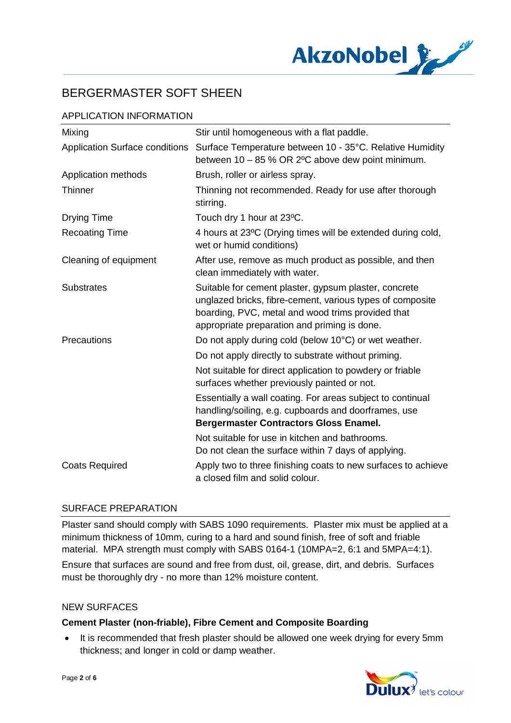

# APPLICATION INFORMATION

| Mixing                                | Stir until homogeneous with a flat paddle.                                                                                                                                                                              |
|---------------------------------------|-------------------------------------------------------------------------------------------------------------------------------------------------------------------------------------------------------------------------|
| <b>Application Surface conditions</b> | Surface Temperature between 10 - 35°C. Relative Humidity<br>between 10 - 85 % OR 2°C above dew point minimum.                                                                                                           |
| Application methods                   | Brush, roller or airless spray.                                                                                                                                                                                         |
| <b>Thinner</b>                        | Thinning not recommended. Ready for use after thorough<br>stirring.                                                                                                                                                     |
| <b>Drying Time</b>                    | Touch dry 1 hour at 23°C.                                                                                                                                                                                               |
| <b>Recoating Time</b>                 | 4 hours at 23°C (Drying times will be extended during cold,<br>wet or humid conditions)                                                                                                                                 |
| Cleaning of equipment                 | After use, remove as much product as possible, and then<br>clean immediately with water.                                                                                                                                |
| <b>Substrates</b>                     | Suitable for cement plaster, gypsum plaster, concrete<br>unglazed bricks, fibre-cement, various types of composite<br>boarding, PVC, metal and wood trims provided that<br>appropriate preparation and priming is done. |
| Precautions                           | Do not apply during cold (below 10°C) or wet weather.                                                                                                                                                                   |
|                                       | Do not apply directly to substrate without priming.                                                                                                                                                                     |
|                                       | Not suitable for direct application to powdery or friable<br>surfaces whether previously painted or not.                                                                                                                |
|                                       | Essentially a wall coating. For areas subject to continual<br>handling/soiling, e.g. cupboards and doorframes, use<br><b>Bergermaster Contractors Gloss Enamel.</b>                                                     |
|                                       | Not suitable for use in kitchen and bathrooms.<br>Do not clean the surface within 7 days of applying.                                                                                                                   |
| <b>Coats Required</b>                 | Apply two to three finishing coats to new surfaces to achieve<br>a closed film and solid colour.                                                                                                                        |

# SURFACE PREPARATION

Plaster sand should comply with SABS 1090 requirements. Plaster mix must be applied at a minimum thickness of 10mm, curing to a hard and sound finish, free of soft and friable material. MPA strength must comply with SABS 0164-1 (10MPA=2, 6:1 and 5MPA=4:1).

Ensure that surfaces are sound and free from dust, oil, grease, dirt, and debris. Surfaces must be thoroughly dry - no more than 12% moisture content.

#### NEW SURFACES

## **Cement Plaster (non-friable), Fibre Cement and Composite Boarding**

· It is recommended that fresh plaster should be allowed one week drying for every 5mm thickness; and longer in cold or damp weather.

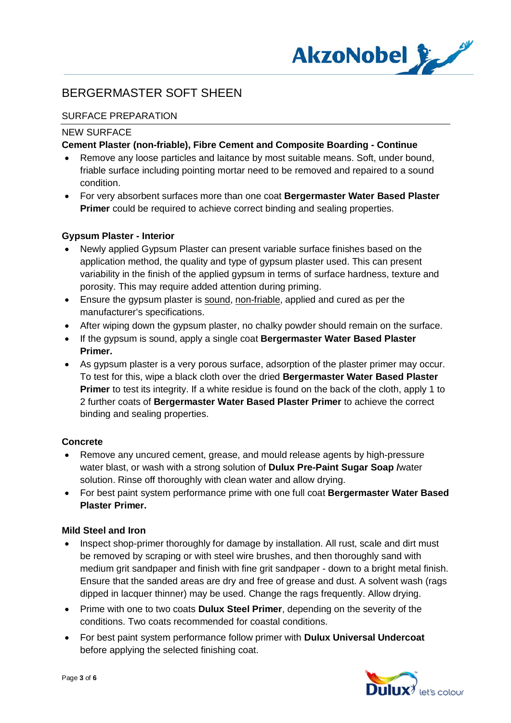

# SURFACE PREPARATION

## NEW SURFACE

## **Cement Plaster (non-friable), Fibre Cement and Composite Boarding - Continue**

- · Remove any loose particles and laitance by most suitable means. Soft, under bound, friable surface including pointing mortar need to be removed and repaired to a sound condition.
- · For very absorbent surfaces more than one coat **Bergermaster Water Based Plaster Primer** could be required to achieve correct binding and sealing properties.

# **Gypsum Plaster - Interior**

- · Newly applied Gypsum Plaster can present variable surface finishes based on the application method, the quality and type of gypsum plaster used. This can present variability in the finish of the applied gypsum in terms of surface hardness, texture and porosity. This may require added attention during priming.
- · Ensure the gypsum plaster is sound, non-friable, applied and cured as per the manufacturer's specifications.
- · After wiping down the gypsum plaster, no chalky powder should remain on the surface.
- · If the gypsum is sound, apply a single coat **Bergermaster Water Based Plaster Primer.**
- · As gypsum plaster is a very porous surface, adsorption of the plaster primer may occur. To test for this, wipe a black cloth over the dried **Bergermaster Water Based Plaster Primer** to test its integrity. If a white residue is found on the back of the cloth, apply 1 to 2 further coats of **Bergermaster Water Based Plaster Primer** to achieve the correct binding and sealing properties.

## **Concrete**

- · Remove any uncured cement, grease, and mould release agents by high-pressure water blast, or wash with a strong solution of **Dulux Pre-Paint Sugar Soap /**water solution. Rinse off thoroughly with clean water and allow drying.
- · For best paint system performance prime with one full coat **Bergermaster Water Based Plaster Primer.**

## **Mild Steel and Iron**

- Inspect shop-primer thoroughly for damage by installation. All rust, scale and dirt must be removed by scraping or with steel wire brushes, and then thoroughly sand with medium grit sandpaper and finish with fine grit sandpaper - down to a bright metal finish. Ensure that the sanded areas are dry and free of grease and dust. A solvent wash (rags dipped in lacquer thinner) may be used. Change the rags frequently. Allow drying.
- · Prime with one to two coats **Dulux Steel Primer**, depending on the severity of the conditions. Two coats recommended for coastal conditions.
- · For best paint system performance follow primer with **Dulux Universal Undercoat** before applying the selected finishing coat.

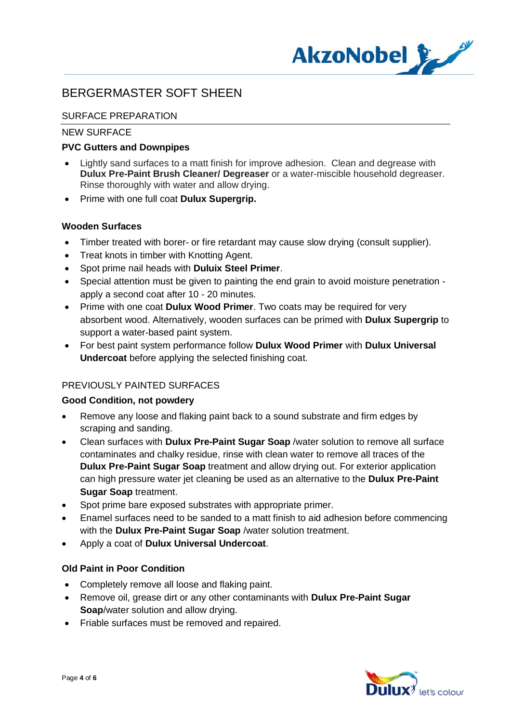

# SURFACE PREPARATION

## NEW SURFACE

## **PVC Gutters and Downpipes**

- · Lightly sand surfaces to a matt finish for improve adhesion. Clean and degrease with **Dulux Pre-Paint Brush Cleaner/ Degreaser** or a water-miscible household degreaser. Rinse thoroughly with water and allow drying.
- · Prime with one full coat **Dulux Supergrip.**

## **Wooden Surfaces**

- · Timber treated with borer- or fire retardant may cause slow drying (consult supplier).
- · Treat knots in timber with Knotting Agent.
- · Spot prime nail heads with **Duluix Steel Primer**.
- · Special attention must be given to painting the end grain to avoid moisture penetration apply a second coat after 10 - 20 minutes.
- · Prime with one coat **Dulux Wood Primer**. Two coats may be required for very absorbent wood. Alternatively, wooden surfaces can be primed with **Dulux Supergrip** to support a water-based paint system.
- · For best paint system performance follow **Dulux Wood Primer** with **Dulux Universal Undercoat** before applying the selected finishing coat.

# PREVIOUSLY PAINTED SURFACES

## **Good Condition, not powdery**

- · Remove any loose and flaking paint back to a sound substrate and firm edges by scraping and sanding.
- · Clean surfaces with **Dulux Pre-Paint Sugar Soap** /water solution to remove all surface contaminates and chalky residue, rinse with clean water to remove all traces of the **Dulux Pre-Paint Sugar Soap** treatment and allow drying out. For exterior application can high pressure water jet cleaning be used as an alternative to the **Dulux Pre-Paint Sugar Soap** treatment.
- Spot prime bare exposed substrates with appropriate primer.
- · Enamel surfaces need to be sanded to a matt finish to aid adhesion before commencing with the **Dulux Pre-Paint Sugar Soap** /water solution treatment.
- · Apply a coat of **Dulux Universal Undercoat**.

## **Old Paint in Poor Condition**

- · Completely remove all loose and flaking paint.
- · Remove oil, grease dirt or any other contaminants with **Dulux Pre-Paint Sugar Soap**/water solution and allow drying.
- · Friable surfaces must be removed and repaired.

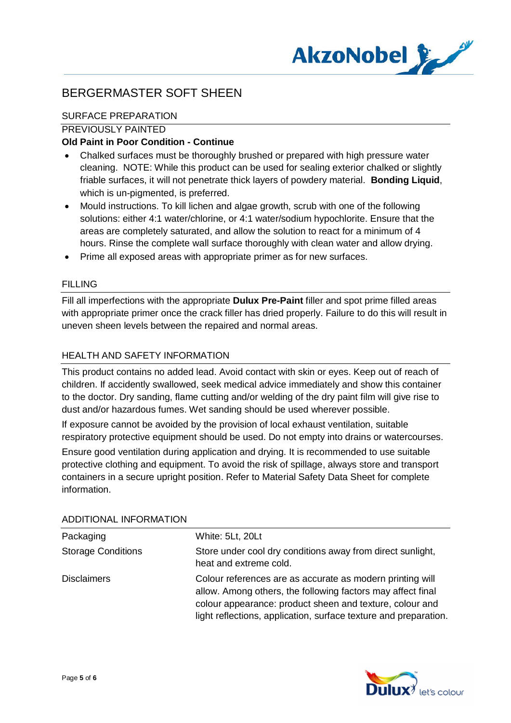

# SURFACE PREPARATION

## PREVIOUSLY PAINTED

## **Old Paint in Poor Condition - Continue**

- · Chalked surfaces must be thoroughly brushed or prepared with high pressure water cleaning. NOTE: While this product can be used for sealing exterior chalked or slightly friable surfaces, it will not penetrate thick layers of powdery material. **Bonding Liquid**, which is un-pigmented, is preferred.
- · Mould instructions. To kill lichen and algae growth, scrub with one of the following solutions: either 4:1 water/chlorine, or 4:1 water/sodium hypochlorite. Ensure that the areas are completely saturated, and allow the solution to react for a minimum of 4 hours. Rinse the complete wall surface thoroughly with clean water and allow drying.
- · Prime all exposed areas with appropriate primer as for new surfaces.

## FILLING

Fill all imperfections with the appropriate **Dulux Pre-Paint** filler and spot prime filled areas with appropriate primer once the crack filler has dried properly. Failure to do this will result in uneven sheen levels between the repaired and normal areas.

## HEALTH AND SAFFTY INFORMATION

This product contains no added lead. Avoid contact with skin or eyes. Keep out of reach of children. If accidently swallowed, seek medical advice immediately and show this container to the doctor. Dry sanding, flame cutting and/or welding of the dry paint film will give rise to dust and/or hazardous fumes. Wet sanding should be used wherever possible.

If exposure cannot be avoided by the provision of local exhaust ventilation, suitable respiratory protective equipment should be used. Do not empty into drains or watercourses.

Ensure good ventilation during application and drying. It is recommended to use suitable protective clothing and equipment. To avoid the risk of spillage, always store and transport containers in a secure upright position. Refer to Material Safety Data Sheet for complete information.

| Packaging                 | White: 5Lt, 20Lt                                                                                                                                                                                                                                         |
|---------------------------|----------------------------------------------------------------------------------------------------------------------------------------------------------------------------------------------------------------------------------------------------------|
| <b>Storage Conditions</b> | Store under cool dry conditions away from direct sunlight,<br>heat and extreme cold.                                                                                                                                                                     |
| <b>Disclaimers</b>        | Colour references are as accurate as modern printing will<br>allow. Among others, the following factors may affect final<br>colour appearance: product sheen and texture, colour and<br>light reflections, application, surface texture and preparation. |

#### ADDITIONAL INFORMATION